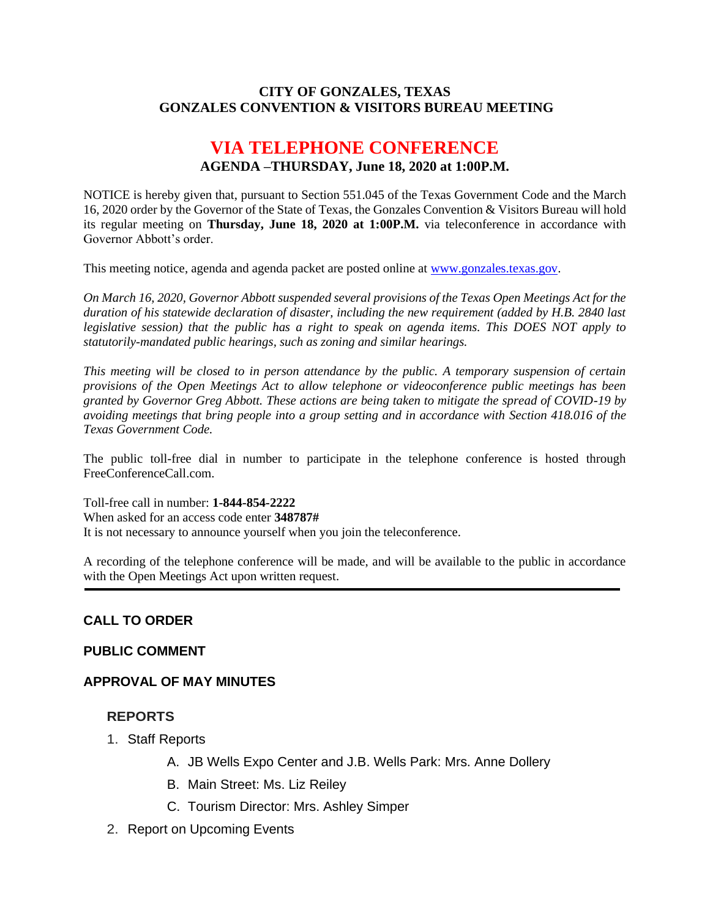#### **CITY OF GONZALES, TEXAS GONZALES CONVENTION & VISITORS BUREAU MEETING**

# **VIA TELEPHONE CONFERENCE AGENDA –THURSDAY, June 18, 2020 at 1:00P.M.**

NOTICE is hereby given that, pursuant to Section 551.045 of the Texas Government Code and the March 16, 2020 order by the Governor of the State of Texas, the Gonzales Convention & Visitors Bureau will hold its regular meeting on **Thursday, June 18, 2020 at 1:00P.M.** via teleconference in accordance with Governor Abbott's order.

This meeting notice, agenda and agenda packet are posted online at [www.gonzales.texas.gov.](http://www.gonzales.texas.gov/)

*On March 16, 2020, Governor Abbott suspended several provisions of the Texas Open Meetings Act for the duration of his statewide declaration of disaster, including the new requirement (added by H.B. 2840 last legislative session) that the public has a right to speak on agenda items. This DOES NOT apply to statutorily-mandated public hearings, such as zoning and similar hearings.* 

*This meeting will be closed to in person attendance by the public. A temporary suspension of certain provisions of the Open Meetings Act to allow telephone or videoconference public meetings has been granted by Governor Greg Abbott. These actions are being taken to mitigate the spread of COVID-19 by avoiding meetings that bring people into a group setting and in accordance with Section 418.016 of the Texas Government Code.*

The public toll-free dial in number to participate in the telephone conference is hosted through FreeConferenceCall.com.

Toll-free call in number: **1-844-854-2222**

When asked for an access code enter **348787#**

It is not necessary to announce yourself when you join the teleconference.

A recording of the telephone conference will be made, and will be available to the public in accordance with the Open Meetings Act upon written request.

#### **CALL TO ORDER**

#### **PUBLIC COMMENT**

#### **APPROVAL OF MAY MINUTES**

#### **REPORTS**

- 1. Staff Reports
	- A. JB Wells Expo Center and J.B. Wells Park: Mrs. Anne Dollery
	- B. Main Street: Ms. Liz Reiley
	- C. Tourism Director: Mrs. Ashley Simper
- 2. Report on Upcoming Events